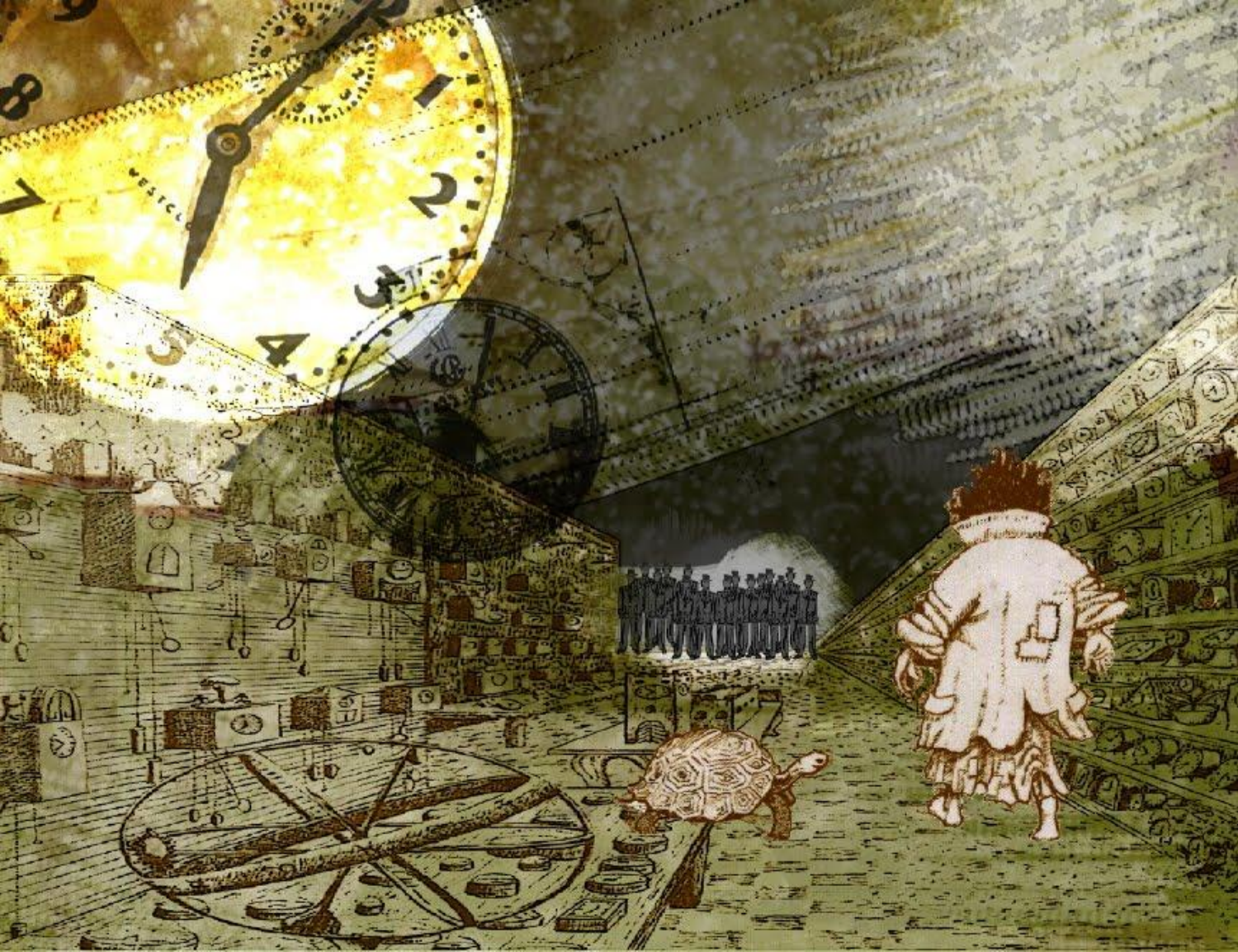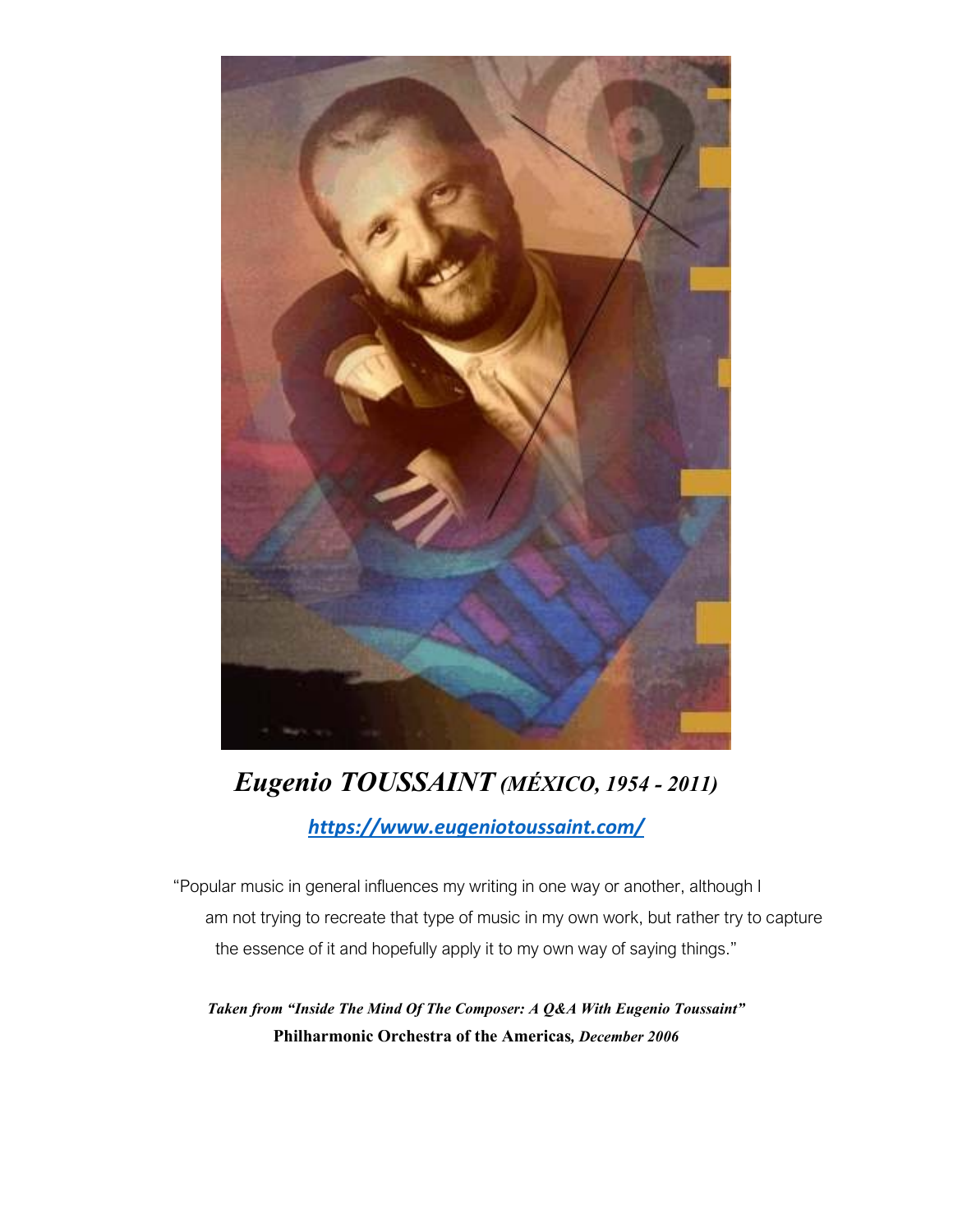

*Eugenio TOUSSAINT (MÉXICO, 1954 - 2011)* 

*<https://www.eugeniotoussaint.com/>*

 "Popular music in general influences my writing in one way or another, although I am not trying to recreate that type of music in my own work, but rather try to capture the essence of it and hopefully apply it to my own way of saying things."

*Taken from "Inside The Mind Of The Composer: A Q&A With Eugenio Toussaint"*  **Philharmonic Orchestra of the Americas***, December 2006*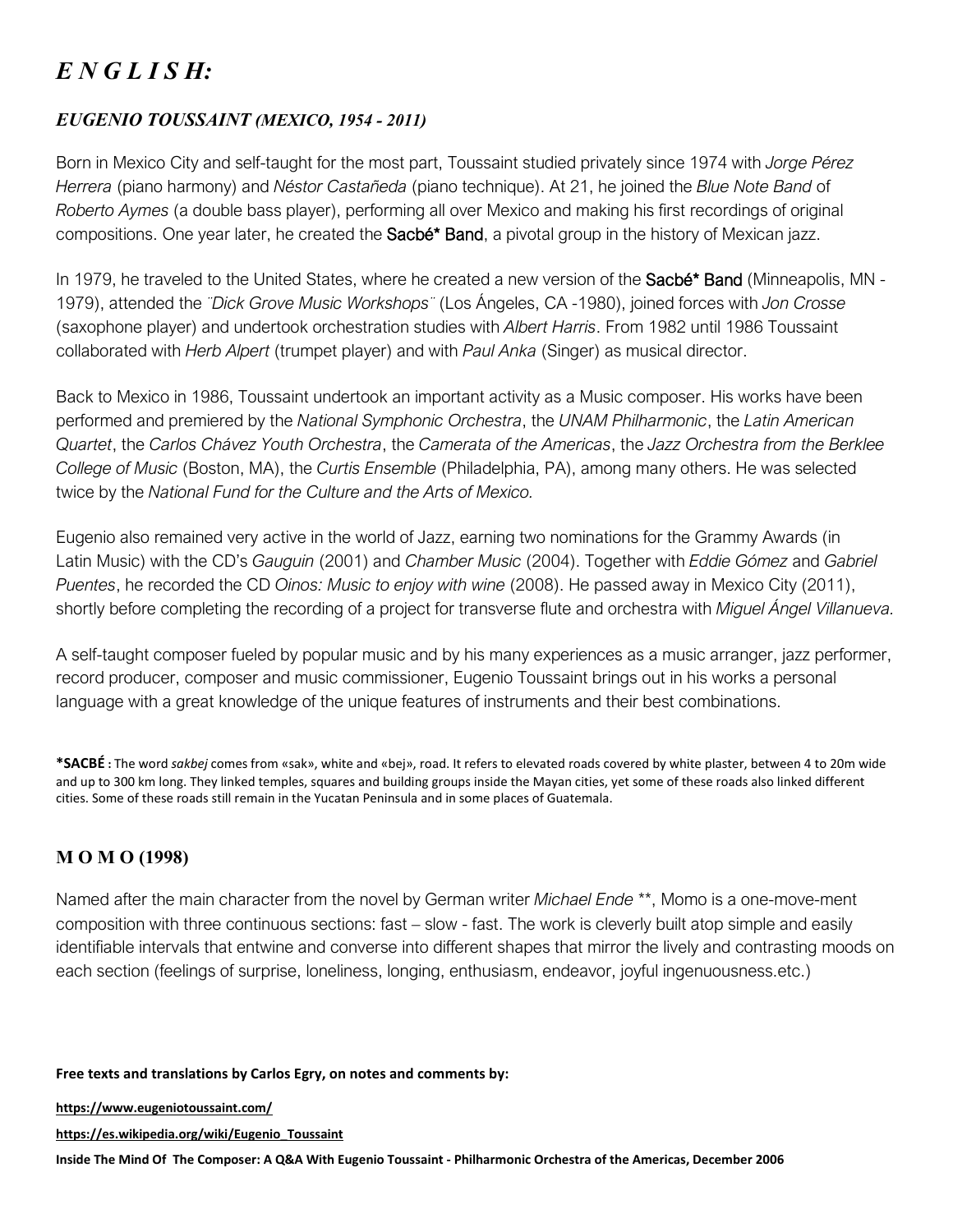## *E N G L I S H:*

## *EUGENIO TOUSSAINT (MEXICO, 1954 - 2011)*

Born in Mexico City and self-taught for the most part, Toussaint studied privately since 1974 with *Jorge Pérez Herrera* (piano harmony) and *Néstor Castañeda* (piano technique). At 21, he joined the *Blue Note Band* of *Roberto Aymes* (a double bass player), performing all over Mexico and making his first recordings of original compositions. One year later, he created the **Sacbé<sup>\*</sup> Band**, a pivotal group in the history of Mexican jazz.

In 1979, he traveled to the United States, where he created a new version of the Sacbé\* Band (Minneapolis, MN -1979), attended the *¨Dick Grove Music Workshops¨* (Los Ángeles, CA -1980), joined forces with *Jon Crosse*  (saxophone player) and undertook orchestration studies with *Albert Harris*. From 1982 until 1986 Toussaint collaborated with *Herb Alpert* (trumpet player) and with *Paul Anka* (Singer) as musical director.

Back to Mexico in 1986, Toussaint undertook an important activity as a Music composer. His works have been performed and premiered by the *National Symphonic Orchestra*, the *UNAM Philharmonic*, the *Latin American Quartet*, the *Carlos Chávez Youth Orchestra*, the *Camerata of the Americas*, the *Jazz Orchestra from the Berklee College of Music* (Boston, MA), the *Curtis Ensemble* (Philadelphia, PA), among many others. He was selected twice by the *National Fund for the Culture and the Arts of Mexico.*

Eugenio also remained very active in the world of Jazz, earning two nominations for the Grammy Awards (in Latin Music) with the CD's *Gauguin* (2001) and *Chamber Music* (2004). Together with *Eddie Gómez* and *Gabriel Puentes*, he recorded the CD *Oinos: Music to enjoy with wine* (2008). He passed away in Mexico City (2011), shortly before completing the recording of a project for transverse flute and orchestra with *Miguel Ángel Villanueva.*

A self-taught composer fueled by popular music and by his many experiences as a music arranger, jazz performer, record producer, composer and music commissioner, Eugenio Toussaint brings out in his works a personal language with a great knowledge of the unique features of instruments and their best combinations.

**\*SACBÉ :** The word *sakbej* comes from «sak», white and «bej», road. It refers to elevated roads covered by white plaster, between 4 to 20m wide and up to 300 km long. They linked temples, squares and building groups inside the Mayan cities, yet some of these roads also linked different cities. Some of these roads still remain in the Yucatan Peninsula and in some places of Guatemala.

## **M O M O (1998)**

Named after the main character from the novel by German writer *Michael Ende* \*\*, Momo is a one-move-ment composition with three continuous sections: fast – slow - fast. The work is cleverly built atop simple and easily identifiable intervals that entwine and converse into different shapes that mirror the lively and contrasting moods on each section (feelings of surprise, loneliness, longing, enthusiasm, endeavor, joyful ingenuousness.etc.)

#### **Free texts and translations by Carlos Egry, on notes and comments by:**

**<https://www.eugeniotoussaint.com/>**

**[https://es.wikipedia.org/wiki/Eugenio\\_Toussaint](https://es.wikipedia.org/wiki/Eugenio_Toussaint)**

**Inside The Mind Of The Composer: A Q&A With Eugenio Toussaint - Philharmonic Orchestra of the Americas, December 2006**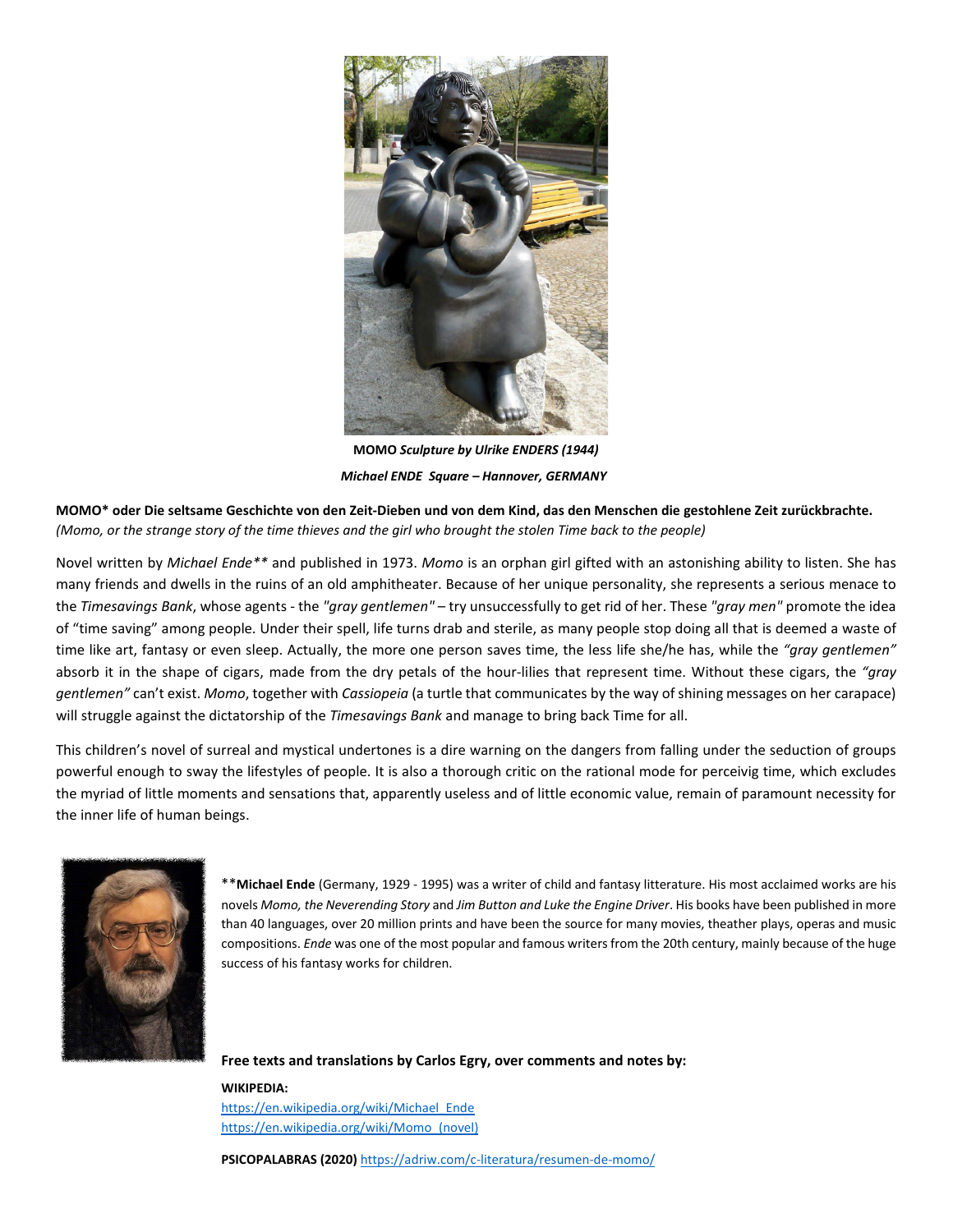

**MOMO** *Sculpture by Ulrike ENDERS (1944) Michael ENDE Square – Hannover, GERMANY*

**MOMO\* oder Die seltsame Geschichte von den Zeit-Dieben und von dem Kind, das den Menschen die gestohlene Zeit zurückbrachte.** *(Momo, or the strange story of the time thieves and the girl who brought the stolen Time back to the people)* 

Novel written by *Michael Ende\*\** and published in 1973. *Momo* is an orphan girl gifted with an astonishing ability to listen. She has many friends and dwells in the ruins of an old amphitheater. Because of her unique personality, she represents a serious menace to the *Timesavings Bank*, whose agents - the *"gray gentlemen"* – try unsuccessfully to get rid of her. These *"gray men"* promote the idea of "time saving" among people. Under their spell, life turns drab and sterile, as many people stop doing all that is deemed a waste of time like art, fantasy or even sleep. Actually, the more one person saves time, the less life she/he has, while the *"gray gentlemen"* absorb it in the shape of cigars, made from the dry petals of the hour-lilies that represent time. Without these cigars, the *"gray gentlemen"* can't exist. *Momo*, together with *Cassiopeia* (a turtle that communicates by the way of shining messages on her carapace) will struggle against the dictatorship of the *Timesavings Bank* and manage to bring back Time for all.

This children's novel of surreal and mystical undertones is a dire warning on the dangers from falling under the seduction of groups powerful enough to sway the lifestyles of people. It is also a thorough critic on the rational mode for perceivig time, which excludes the myriad of little moments and sensations that, apparently useless and of little economic value, remain of paramount necessity for the inner life of human beings.



\*\***Michael Ende** (Germany, 1929 - 1995) was a writer of child and fantasy litterature. His most acclaimed works are his novels *Momo, the Neverending Story* and *Jim Button and Luke the Engine Driver*. His books have been published in more than 40 languages, over 20 million prints and have been the source for many movies, theather plays, operas and music compositions. *Ende* was one of the most popular and famous writers from the 20th century, mainly because of the huge success of his fantasy works for children.

**Free texts and translations by Carlos Egry, over comments and notes by: WIKIPEDIA:**  [https://en.wikipedia.org/wiki/Michael\\_Ende](https://en.wikipedia.org/wiki/Michael_Ende)

[https://en.wikipedia.org/wiki/Momo\\_\(novel\)](https://en.wikipedia.org/wiki/Momo_(novel))

**PSICOPALABRAS (2020)** <https://adriw.com/c-literatura/resumen-de-momo/>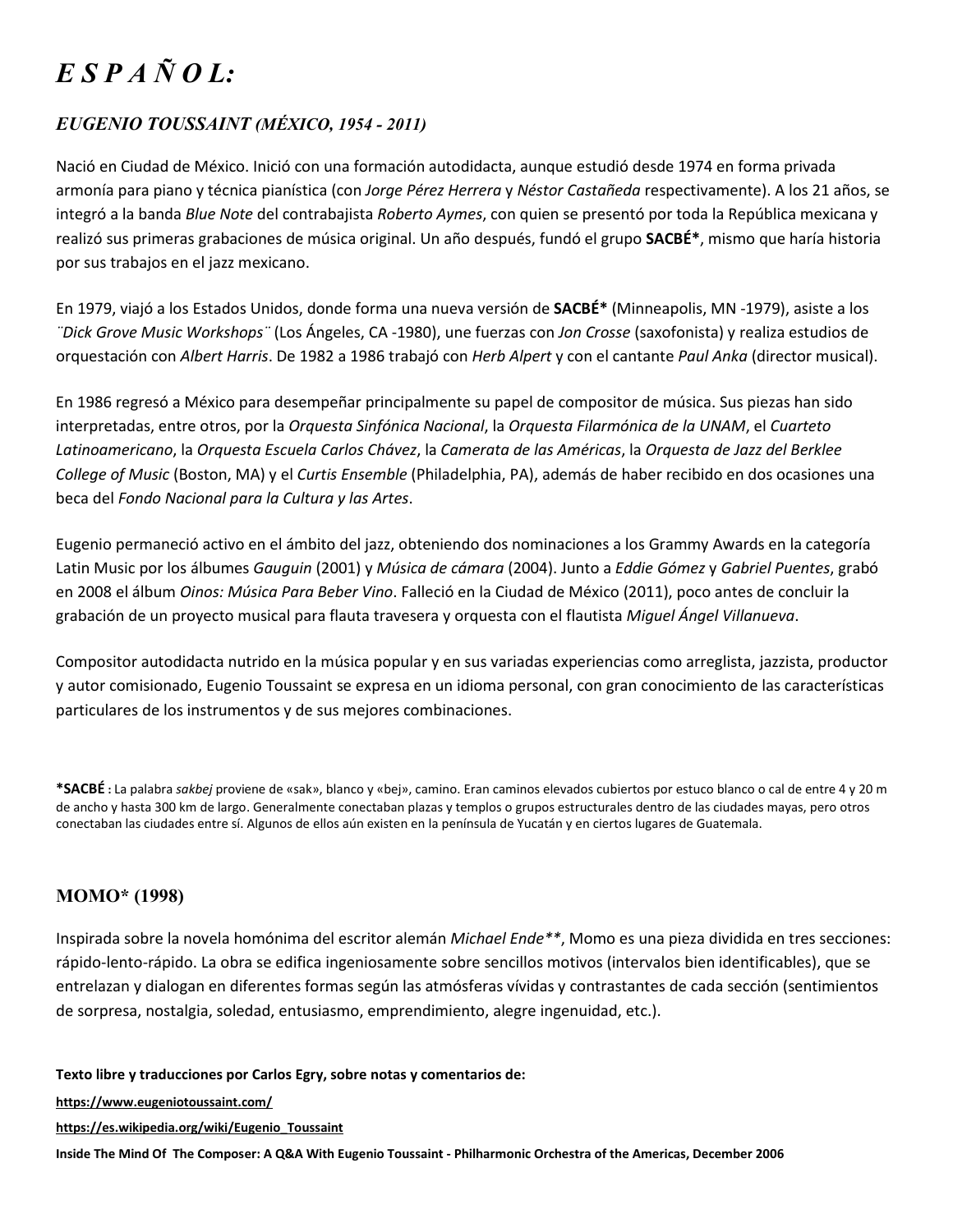# *E S P A Ñ O L:*

## *EUGENIO TOUSSAINT (MÉXICO, 1954 - 2011)*

Nació en Ciudad de México. Inició con una formación autodidacta, aunque estudió desde 1974 en forma privada armonía para piano y técnica pianística (con *Jorge Pérez Herrera* y *Néstor Castañeda* respectivamente). A los 21 años, se integró a la banda *Blue Note* del contrabajista *Roberto Aymes*, con quien se presentó por toda la República mexicana y realizó sus primeras grabaciones de música original. Un año después, fundó el grupo **SACBÉ\***, mismo que haría historia por sus trabajos en el jazz mexicano.

En 1979, viajó a los Estados Unidos, donde forma una nueva versión de **SACBÉ\*** (Minneapolis, MN -1979), asiste a los *¨Dick Grove Music Workshops¨* (Los Ángeles, CA -1980), une fuerzas con *Jon Crosse* (saxofonista) y realiza estudios de orquestación con *Albert Harris*. De 1982 a 1986 trabajó con *Herb Alpert* y con el cantante *Paul Anka* (director musical).

En 1986 regresó a México para desempeñar principalmente su papel de compositor de música. Sus piezas han sido interpretadas, entre otros, por la *Orquesta Sinfónica Nacional*, la *Orquesta Filarmónica de la UNAM*, el *Cuarteto Latinoamericano*, la *Orquesta Escuela Carlos Chávez*, la *Camerata de las Américas*, la *Orquesta de Jazz del Berklee College of Music* (Boston, MA) y el *Curtis Ensemble* (Philadelphia, PA), además de haber recibido en dos ocasiones una beca del *Fondo Nacional para la Cultura y las Artes*.

Eugenio permaneció activo en el ámbito del jazz, obteniendo dos nominaciones a los Grammy Awards en la categoría Latin Music por los álbumes *Gauguin* (2001) y *Música de cámara* (2004). Junto a *Eddie Gómez* y *Gabriel Puentes*, grabó en 2008 el álbum *Oinos: Música Para Beber Vino*. Falleció en la Ciudad de México (2011), poco antes de concluir la grabación de un proyecto musical para flauta travesera y orquesta con el flautista *Miguel Ángel Villanueva*.

Compositor autodidacta nutrido en la música popular y en sus variadas experiencias como arreglista, jazzista, productor y autor comisionado, Eugenio Toussaint se expresa en un idioma personal, con gran conocimiento de las características particulares de los instrumentos y de sus mejores combinaciones.

**\*SACBÉ :** La palabra *sakbej* proviene de «sak», blanco y «bej», camino. Eran caminos elevados cubiertos por estuco blanco o cal de entre 4 y 20 m de ancho y hasta 300 km de largo. Generalmente conectaban plazas y templos o grupos estructurales dentro de las ciudades mayas, pero otros conectaban las ciudades entre sí. Algunos de ellos aún existen en la península de Yucatán y en ciertos lugares de Guatemala.

### **MOMO\* (1998)**

Inspirada sobre la novela homónima del escritor alemán *Michael Ende\*\**, Momo es una pieza dividida en tres secciones: rápido-lento-rápido. La obra se edifica ingeniosamente sobre sencillos motivos (intervalos bien identificables), que se entrelazan y dialogan en diferentes formas según las atmósferas vívidas y contrastantes de cada sección (sentimientos de sorpresa, nostalgia, soledad, entusiasmo, emprendimiento, alegre ingenuidad, etc.).

**Texto libre y traducciones por Carlos Egry, sobre notas y comentarios de:**

**<https://www.eugeniotoussaint.com/>**

```
https://es.wikipedia.org/wiki/Eugenio_Toussaint
```
**Inside The Mind Of The Composer: A Q&A With Eugenio Toussaint - Philharmonic Orchestra of the Americas, December 2006**